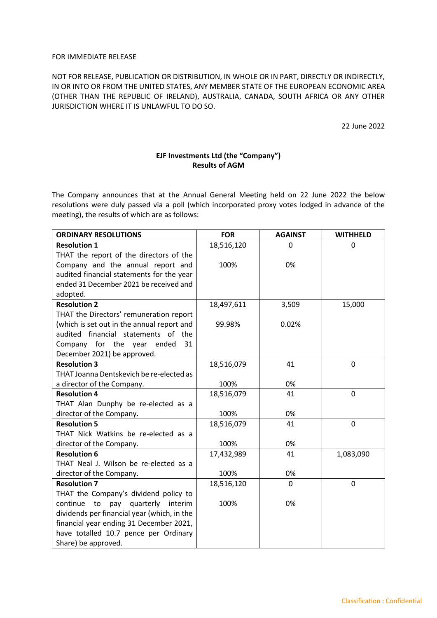## FOR IMMEDIATE RELEASE

NOT FOR RELEASE, PUBLICATION OR DISTRIBUTION, IN WHOLE OR IN PART, DIRECTLY OR INDIRECTLY, IN OR INTO OR FROM THE UNITED STATES, ANY MEMBER STATE OF THE EUROPEAN ECONOMIC AREA (OTHER THAN THE REPUBLIC OF IRELAND), AUSTRALIA, CANADA, SOUTH AFRICA OR ANY OTHER JURISDICTION WHERE IT IS UNLAWFUL TO DO SO.

22 June 2022

## **EJF Investments Ltd (the "Company") Results of AGM**

The Company announces that at the Annual General Meeting held on 22 June 2022 the below resolutions were duly passed via a poll (which incorporated proxy votes lodged in advance of the meeting), the results of which are as follows:

| <b>ORDINARY RESOLUTIONS</b>                   | <b>FOR</b> | <b>AGAINST</b> | <b>WITHHELD</b> |
|-----------------------------------------------|------------|----------------|-----------------|
| <b>Resolution 1</b>                           | 18,516,120 | 0              | 0               |
| THAT the report of the directors of the       |            |                |                 |
| Company and the annual report and             | 100%       | 0%             |                 |
| audited financial statements for the year     |            |                |                 |
| ended 31 December 2021 be received and        |            |                |                 |
| adopted.                                      |            |                |                 |
| <b>Resolution 2</b>                           | 18,497,611 | 3,509          | 15,000          |
| THAT the Directors' remuneration report       |            |                |                 |
| (which is set out in the annual report and    | 99.98%     | 0.02%          |                 |
| audited financial statements of the           |            |                |                 |
| Company for the year ended<br>31              |            |                |                 |
| December 2021) be approved.                   |            |                |                 |
| <b>Resolution 3</b>                           | 18,516,079 | 41             | 0               |
| THAT Joanna Dentskevich be re-elected as      |            |                |                 |
| a director of the Company.                    | 100%       | 0%             |                 |
| <b>Resolution 4</b>                           | 18,516,079 | 41             | $\overline{0}$  |
| THAT Alan Dunphy be re-elected as a           |            |                |                 |
| director of the Company.                      | 100%       | 0%             |                 |
| <b>Resolution 5</b>                           | 18,516,079 | 41             | $\overline{0}$  |
| THAT Nick Watkins be re-elected as a          |            |                |                 |
| director of the Company.                      | 100%       | 0%             |                 |
| <b>Resolution 6</b>                           | 17,432,989 | 41             | 1,083,090       |
| THAT Neal J. Wilson be re-elected as a        |            |                |                 |
| director of the Company.                      | 100%       | 0%             |                 |
| <b>Resolution 7</b>                           | 18,516,120 | $\overline{0}$ | $\overline{0}$  |
| THAT the Company's dividend policy to         |            |                |                 |
| continue<br>quarterly<br>interim<br>to<br>pay | 100%       | 0%             |                 |
| dividends per financial year (which, in the   |            |                |                 |
| financial year ending 31 December 2021,       |            |                |                 |
| have totalled 10.7 pence per Ordinary         |            |                |                 |
| Share) be approved.                           |            |                |                 |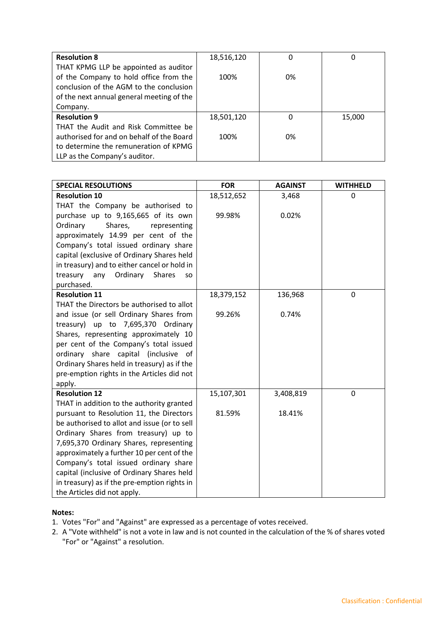| <b>Resolution 8</b>                       | 18,516,120 | 0  | 0      |
|-------------------------------------------|------------|----|--------|
| THAT KPMG LLP be appointed as auditor     |            |    |        |
| of the Company to hold office from the    | 100%       | 0% |        |
| conclusion of the AGM to the conclusion   |            |    |        |
| of the next annual general meeting of the |            |    |        |
| Company.                                  |            |    |        |
| <b>Resolution 9</b>                       | 18,501,120 | O  | 15,000 |
| THAT the Audit and Risk Committee be      |            |    |        |
| authorised for and on behalf of the Board | 100%       | 0% |        |
| to determine the remuneration of KPMG     |            |    |        |
| LLP as the Company's auditor.             |            |    |        |

| <b>SPECIAL RESOLUTIONS</b>                          | <b>FOR</b> | <b>AGAINST</b> | <b>WITHHELD</b> |
|-----------------------------------------------------|------------|----------------|-----------------|
| <b>Resolution 10</b>                                | 18,512,652 | 3,468          | 0               |
| THAT the Company be authorised to                   |            |                |                 |
| purchase up to 9,165,665 of its own                 | 99.98%     | 0.02%          |                 |
| Ordinary<br>Shares,<br>representing                 |            |                |                 |
| approximately 14.99 per cent of the                 |            |                |                 |
| Company's total issued ordinary share               |            |                |                 |
| capital (exclusive of Ordinary Shares held          |            |                |                 |
| in treasury) and to either cancel or hold in        |            |                |                 |
| Ordinary<br>any<br><b>Shares</b><br>treasury<br>SO. |            |                |                 |
| purchased.                                          |            |                |                 |
| <b>Resolution 11</b>                                | 18,379,152 | 136,968        | 0               |
| THAT the Directors be authorised to allot           |            |                |                 |
| and issue (or sell Ordinary Shares from             | 99.26%     | 0.74%          |                 |
| treasury) up to 7,695,370 Ordinary                  |            |                |                 |
| Shares, representing approximately 10               |            |                |                 |
| per cent of the Company's total issued              |            |                |                 |
| ordinary share capital (inclusive of                |            |                |                 |
| Ordinary Shares held in treasury) as if the         |            |                |                 |
| pre-emption rights in the Articles did not          |            |                |                 |
| apply.                                              |            |                |                 |
| <b>Resolution 12</b>                                | 15,107,301 | 3,408,819      | $\mathbf 0$     |
| THAT in addition to the authority granted           |            |                |                 |
| pursuant to Resolution 11, the Directors            | 81.59%     | 18.41%         |                 |
| be authorised to allot and issue (or to sell        |            |                |                 |
| Ordinary Shares from treasury) up to                |            |                |                 |
| 7,695,370 Ordinary Shares, representing             |            |                |                 |
| approximately a further 10 per cent of the          |            |                |                 |
| Company's total issued ordinary share               |            |                |                 |
| capital (inclusive of Ordinary Shares held          |            |                |                 |
| in treasury) as if the pre-emption rights in        |            |                |                 |
| the Articles did not apply.                         |            |                |                 |

# **Notes:**

- 1. Votes "For" and "Against" are expressed as a percentage of votes received.
- 2. A "Vote withheld" is not a vote in law and is not counted in the calculation of the % of shares voted "For" or "Against" a resolution.